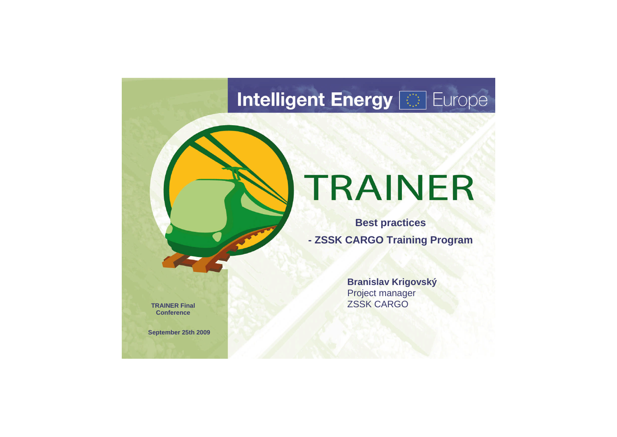## **Intelligent Energy Fight** Europe

# TRAINER

**Branislav Krigovský** Project manager ZSSK CARGO

**Best practices - ZSSK CARGO Training Program**

**TRAINER Final Conference**

**September 25th 2009**

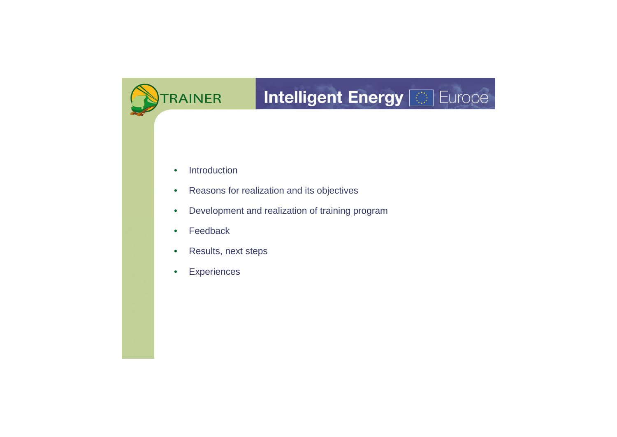## **Intelligent Energy [65] Europe**

- Introduction
- Reasons for realization and its objectives
- Development and realization of training program
- Feedback
- Results, next steps
- Experiences

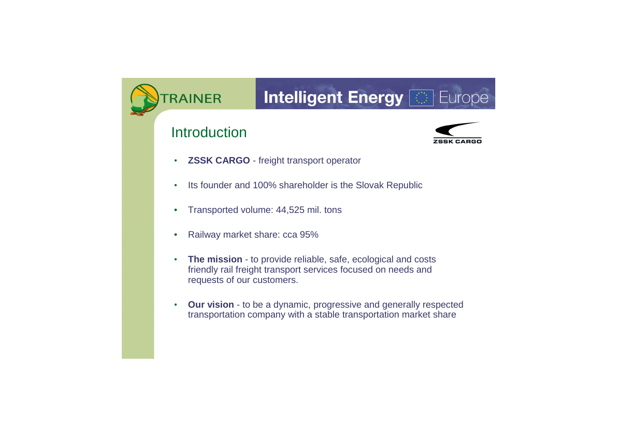## Intelligent Energy

### **Introduction**



- **ZSSK CARGO** freight transport operator
- Its founder and 100% shareholder is the Slovak Republic
- Transported volume: 44,525 mil. tons
- Railway market share: cca 95%
- **The mission** to provide reliable, safe, ecological and costs friendly rail freight transport services focused on needs and requests of our customers.
- **Our vision** to be a dynamic, progressive and generally respected transportation company with a stable transportation market share

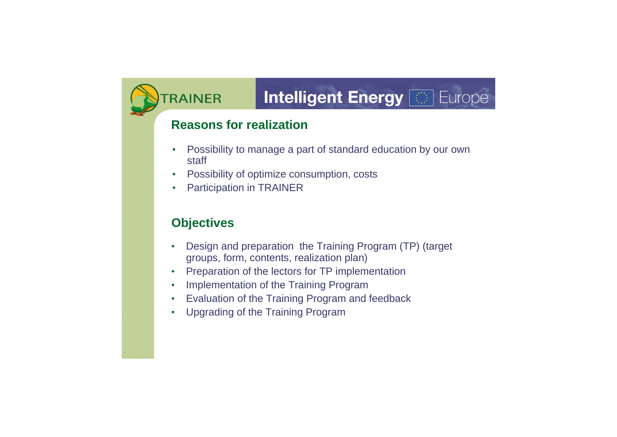### Intelligent Energy

#### **Reasons for realization**

- Possibility to manage a part of standard education by our own staff
- Possibility of optimize consumption, costs
- Participation in TRAINER

### **Objectives**

- Design and preparation the Training Program (TP) (target groups, form, contents, realization plan)
- Preparation of the lectors for TP implementation
- Implementation of the Training Program
- Evaluation of the Training Program and feedback
- Upgrading of the Training Program

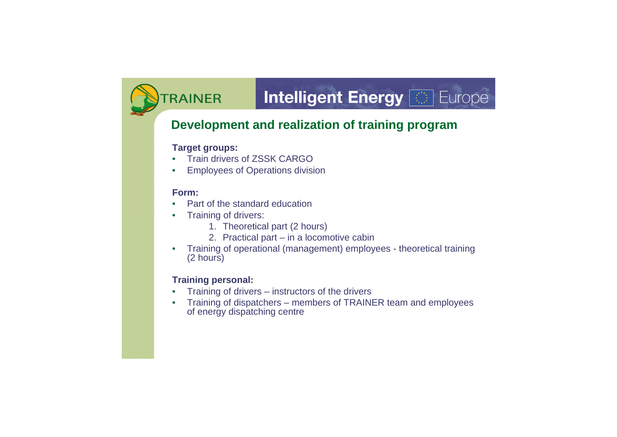### **Intelligent Energy [63] Europe**

#### **Development and realization of training program**

#### **Target groups:**

- **Train drivers of ZSSK CARGO**
- Employees of Operations division

#### **Form:**

- Part of the standard education
- Training of drivers:
	- 1. Theoretical part (2 hours)
	- 2. Practical part in a locomotive cabin
- Training of operational (management) employees theoretical training (2 hours)

#### **Training personal:**

- Training of drivers instructors of the drivers
- Training of dispatchers members of TRAINER team and employees of energy dispatching centre

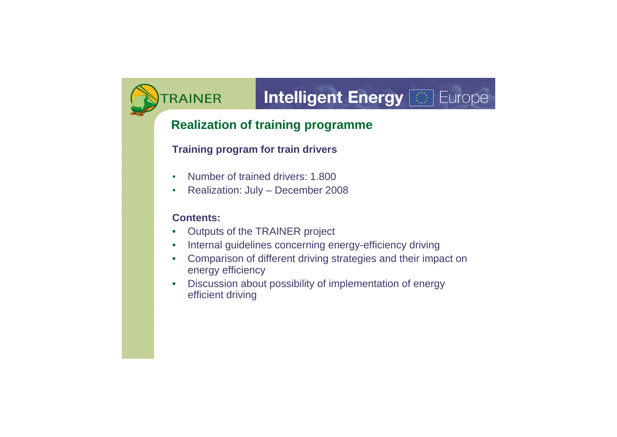### **Intelligent Energy [69] Europe**

#### **Realization of training programme**

#### **Training program for train drivers**

- Number of trained drivers: 1.800
- Realization: July December 2008

#### **Contents:**

- Outputs of the TRAINER project
- Internal guidelines concerning energy-efficiency driving
- Comparison of different driving strategies and their impact on energy efficiency
- Discussion about possibility of implementation of energy efficient driving

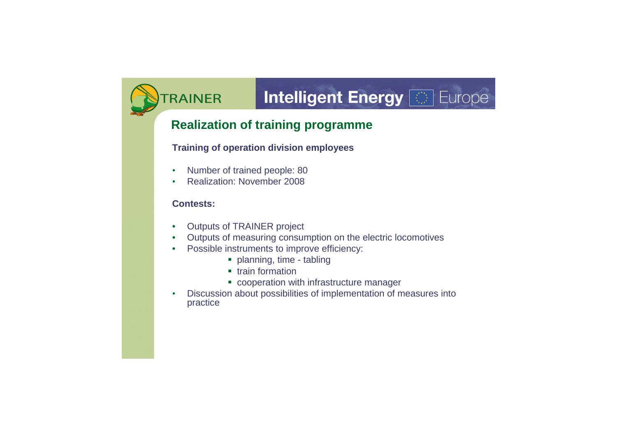### **Intelligent Energy [69] Europe**

#### **Realization of training programme**

#### **Training of operation division employees**

- Number of trained people: 80
- Realization: November 2008

#### **Contests:**

- Outputs of TRAINER project
- Outputs of measuring consumption on the electric locomotives
- Possible instruments to improve efficiency:
	- planning, time tabling
	- **•** train formation
	- **cooperation with infrastructure manager**
- Discussion about possibilities of implementation of measures into practice

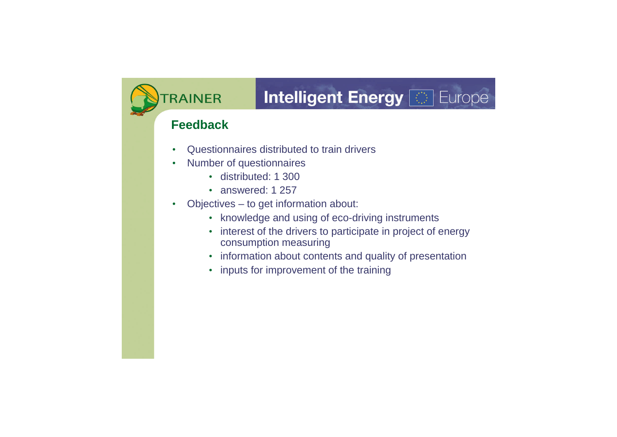## **Intelligent Energy [63] Europe**

#### **Feedback**

- Questionnaires distributed to train drivers
- Number of questionnaires
	- distributed: 1 300
	- answered: 1 257
- Objectives to get information about:
	- knowledge and using of eco-driving instruments
	- interest of the drivers to participate in project of energy consumption measuring
	- information about contents and quality of presentation
	- inputs for improvement of the training



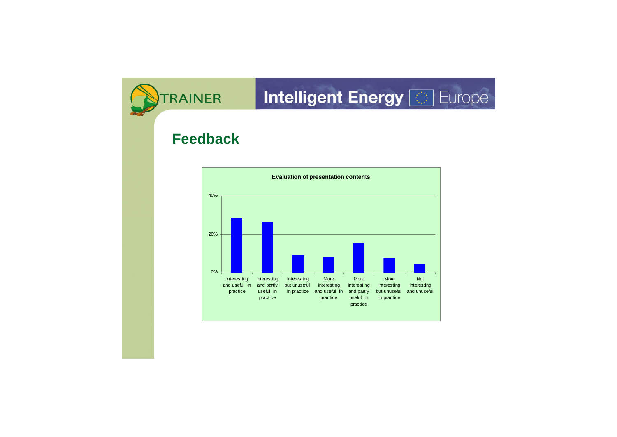### **Intelligent Energy [69] Europe**

### **Feedback**



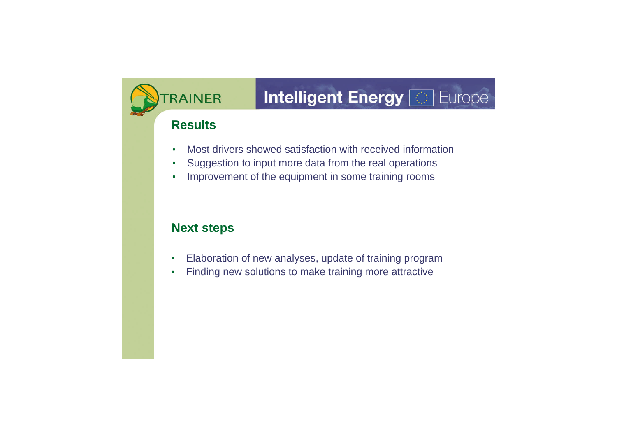## Intelligent Energy [89]

#### **Results**

- Most drivers showed satisfaction with received information
- Suggestion to input more data from the real operations
- Improvement of the equipment in some training rooms

#### **Next steps**

- Elaboration of new analyses, update of training program
- Finding new solutions to make training more attractive

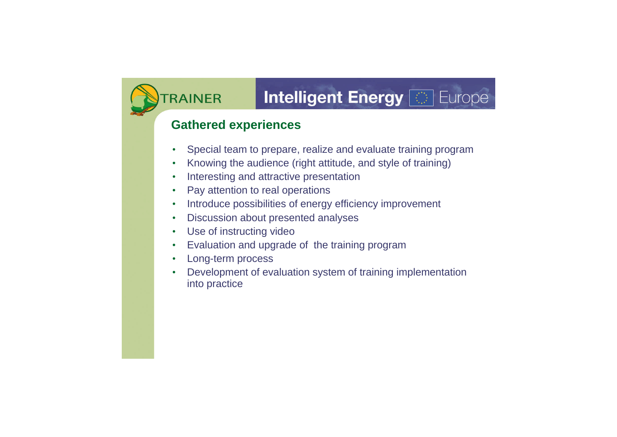### **Intelligent Energy [63] Europe**

#### **Gathered experiences**

- Special team to prepare, realize and evaluate training program
- Knowing the audience (right attitude, and style of training)
- Interesting and attractive presentation
- Pay attention to real operations
- Introduce possibilities of energy efficiency improvement
- Discussion about presented analyses
- Use of instructing video
- Evaluation and upgrade of the training program
- Long-term process
- Development of evaluation system of training implementation into practice